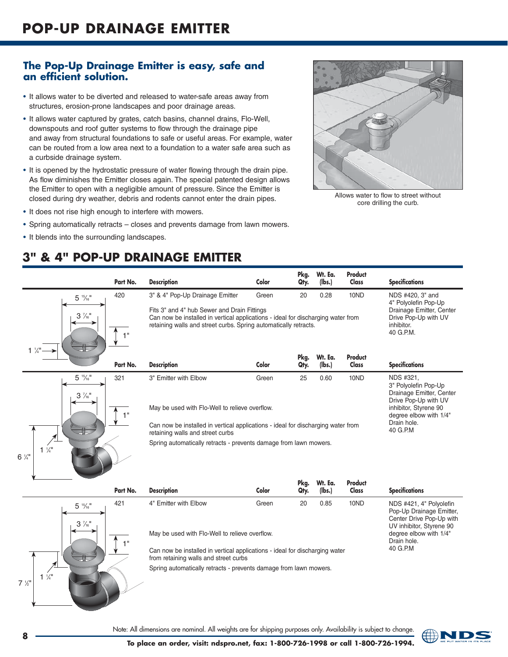## **The Pop-up Drainage Emitter is easy, safe and an efficient solution.**

- It allows water to be diverted and released to water-safe areas away from structures, erosion-prone landscapes and poor drainage areas.
- It allows water captured by grates, catch basins, channel drains, Flo-Well, downspouts and roof gutter systems to flow through the drainage pipe and away from structural foundations to safe or useful areas. For example, water can be routed from a low area next to a foundation to a water safe area such as a curbside drainage system.
- It is opened by the hydrostatic pressure of water flowing through the drain pipe. As flow diminishes the Emitter closes again. The special patented design allows the Emitter to open with a negligible amount of pressure. Since the Emitter is closed during dry weather, debris and rodents cannot enter the drain pipes.
- It does not rise high enough to interfere with mowers.
- Spring automatically retracts closes and prevents damage from lawn mowers.
- It blends into the surrounding landscapes.

## **3" & 4" POP-uP DrAiNAgE EMiTTEr**

|                                     | Part No. | <b>Description</b>                                                                                                                                                                                                                                                                 | Color | Pkg.<br>Qty. | Wt. Ea.<br>(lbs.) | Product<br>Class | <b>Specifications</b>                                                                 |  |
|-------------------------------------|----------|------------------------------------------------------------------------------------------------------------------------------------------------------------------------------------------------------------------------------------------------------------------------------------|-------|--------------|-------------------|------------------|---------------------------------------------------------------------------------------|--|
| $5 \frac{15}{16}$                   | 420      | 3" & 4" Pop-Up Drainage Emitter                                                                                                                                                                                                                                                    | Green | 20           | 0.28              | 10ND             | NDS #420, 3" and<br>4" Polyolefin Pop-Up                                              |  |
| $3\frac{7}{16}$                     | 4 H      | Fits 3" and 4" hub Sewer and Drain Fittings<br>Drainage Emitter, Center<br>Can now be installed in vertical applications - ideal for discharging water from<br>Drive Pop-Up with UV<br>retaining walls and street curbs. Spring automatically retracts.<br>inhibitor.<br>40 G.P.M. |       |              |                   |                  |                                                                                       |  |
| $1\frac{1}{4}$ $\longrightarrow$    | Part No. | <b>Description</b>                                                                                                                                                                                                                                                                 | Color | Pkg.<br>Qty. | Wt. Ea.<br>(lbs.) | Product<br>Class | <b>Specifications</b>                                                                 |  |
| $5\frac{15}{16}$<br>$3\frac{7}{16}$ | 321      | 3" Emitter with Elbow                                                                                                                                                                                                                                                              | Green | 25           | 0.60              | 10ND             | NDS #321.<br>3" Polyolefin Pop-Up<br>Drainage Emitter, Center<br>Drive Pop-Up with UV |  |
|                                     | 411      | May be used with Flo-Well to relieve overflow.                                                                                                                                                                                                                                     |       |              |                   |                  | inhibitor, Styrene 90<br>degree elbow with 1/4"                                       |  |
|                                     |          | Can now be installed in vertical applications - ideal for discharging water from<br>retaining walls and street curbs                                                                                                                                                               |       |              |                   |                  | Drain hole.<br>40 G.P.M                                                               |  |
|                                     |          |                                                                                                                                                                                                                                                                                    |       |              |                   |                  |                                                                                       |  |



Spring automatically retracts - prevents damage from lawn mowers.

|                                     | Part No.    | <b>Description</b>                                                                                                                                                                              | Color | Pkg.<br>Qtv. | Wt. Ea.<br>(lbs.) | Product<br>Class | <b>Specifications</b>                                                                                                                                            |
|-------------------------------------|-------------|-------------------------------------------------------------------------------------------------------------------------------------------------------------------------------------------------|-------|--------------|-------------------|------------------|------------------------------------------------------------------------------------------------------------------------------------------------------------------|
| $5\frac{15}{16}$<br>$3\frac{7}{16}$ | 421<br>$-1$ | 4" Emitter with Elbow<br>May be used with Flo-Well to relieve overflow.<br>Can now be installed in vertical applications - ideal for discharging water<br>from retaining walls and street curbs | Green | 20           | 0.85              | 10ND             | NDS #421, 4" Polyolefin<br>Pop-Up Drainage Emitter,<br>Center Drive Pop-Up with<br>UV inhibitor, Styrene 90<br>degree elbow with 1/4"<br>Drain hole.<br>40 G.P.M |
|                                     |             | Spring automatically retracts - prevents damage from lawn mowers.                                                                                                                               |       |              |                   |                  |                                                                                                                                                                  |

**<sup>8</sup>** Note: All dimensions are nominal. All weights are for shipping purposes only. Availability is subject to change.



Allows water to flow to street without core drilling the curb.

 $7,$  $\sqrt{2}$ "  $1\frac{1}{4}$